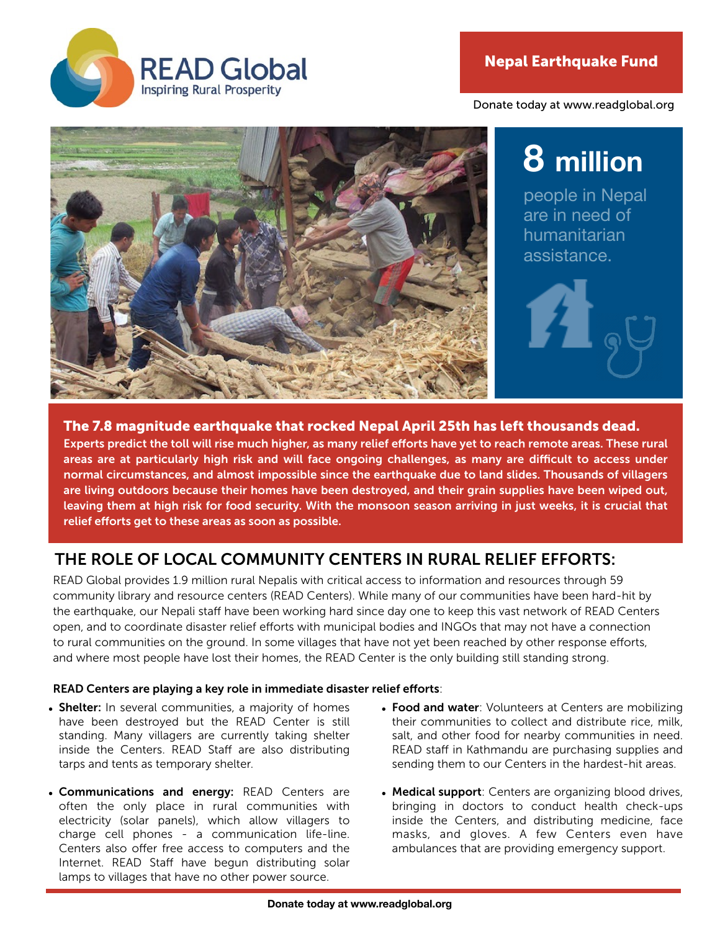Donate today at www.readglobal.org



# **8 million**

people in Nepal are in need of humanitarian assistance.



#### The 7.8 magnitude earthquake that rocked Nepal April 25th has left thousands dead.

Experts predict the toll will rise much higher, as many relief efforts have yet to reach remote areas. These rural areas are at particularly high risk and will face ongoing challenges, as many are difficult to access under normal circumstances, and almost impossible since the earthquake due to land slides. Thousands of villagers are living outdoors because their homes have been destroyed, and their grain supplies have been wiped out, leaving them at high risk for food security. With the monsoon season arriving in just weeks, it is crucial that relief efforts get to these areas as soon as possible.

### THE ROLE OF LOCAL COMMUNITY CENTERS IN RURAL RELIEF EFFORTS:

READ Global provides 1.9 million rural Nepalis with critical access to information and resources through 59 community library and resource centers (READ Centers). While many of our communities have been hard-hit by the earthquake, our Nepali staff have been working hard since day one to keep this vast network of READ Centers open, and to coordinate disaster relief efforts with municipal bodies and INGOs that may not have a connection to rural communities on the ground. In some villages that have not yet been reached by other response efforts, and where most people have lost their homes, the READ Center is the only building still standing strong.

#### READ Centers are playing a key role in immediate disaster relief efforts:

- Shelter: In several communities, a majority of homes have been destroyed but the READ Center is still standing. Many villagers are currently taking shelter inside the Centers. READ Staff are also distributing tarps and tents as temporary shelter.
- Communications and energy: READ Centers are often the only place in rural communities with electricity (solar panels), which allow villagers to charge cell phones - a communication life-line. Centers also offer free access to computers and the Internet. READ Staff have begun distributing solar lamps to villages that have no other power source.
- Food and water: Volunteers at Centers are mobilizing their communities to collect and distribute rice, milk, salt, and other food for nearby communities in need. READ staff in Kathmandu are purchasing supplies and sending them to our Centers in the hardest-hit areas.
- Medical support: Centers are organizing blood drives, bringing in doctors to conduct health check-ups inside the Centers, and distributing medicine, face masks, and gloves. A few Centers even have ambulances that are providing emergency support.